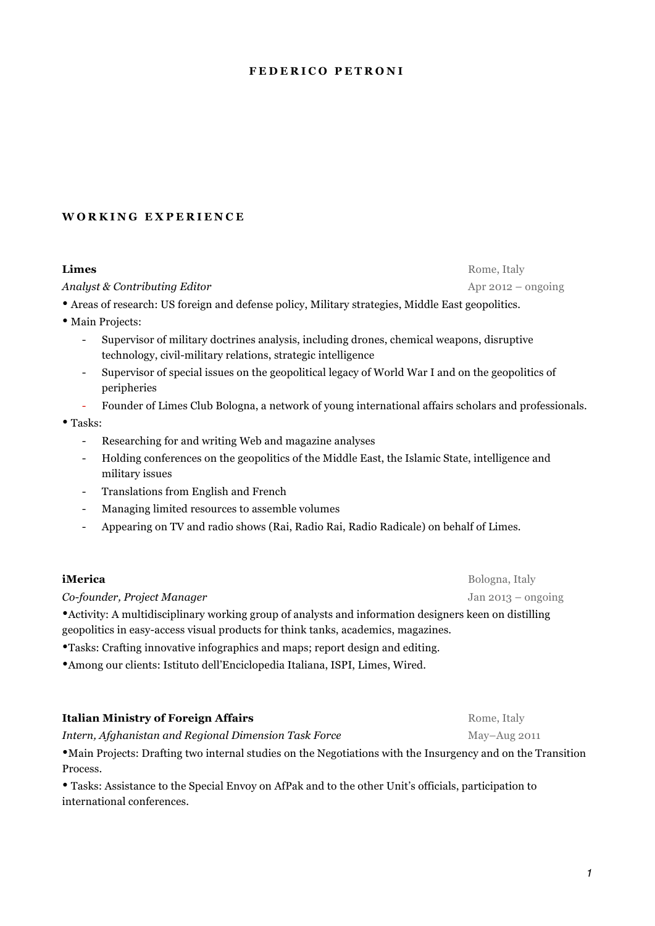#### **FEDERICO PETRONI**

## **WORKING EXPERIENCE**

#### **Limes** Rome, Italy

*Analyst & Contributing Editor*  $\overline{AB}$  Analyst  $\overline{BC}$  *Apr 2012 – ongoing* 

• Areas of research: US foreign and defense policy, Military strategies, Middle East geopolitics.

- Main Projects:
	- Supervisor of military doctrines analysis, including drones, chemical weapons, disruptive technology, civil-military relations, strategic intelligence
	- Supervisor of special issues on the geopolitical legacy of World War I and on the geopolitics of peripheries
	- Founder of Limes Club Bologna, a network of young international affairs scholars and professionals.

#### • Tasks:

- Researching for and writing Web and magazine analyses
- Holding conferences on the geopolitics of the Middle East, the Islamic State, intelligence and military issues
- Translations from English and French
- Managing limited resources to assemble volumes
- Appearing on TV and radio shows (Rai, Radio Rai, Radio Radicale) on behalf of Limes.

#### **iMerica** Bologna, Italy

*Co-founder, Project Manager* Jan 2013 – ongoing

•Activity: A multidisciplinary working group of analysts and information designers keen on distilling geopolitics in easy-access visual products for think tanks, academics, magazines.

•Tasks: Crafting innovative infographics and maps; report design and editing.

•Among our clients: Istituto dell'Enciclopedia Italiana, ISPI, Limes, Wired.

#### **Italian Ministry of Foreign Affairs** Rome, Italy

*Intern, Afghanistan and Regional Dimension Task Force* May–Aug 2011

•Main Projects: Drafting two internal studies on the Negotiations with the Insurgency and on the Transition Process.

• Tasks: Assistance to the Special Envoy on AfPak and to the other Unit's officials, participation to international conferences.

*1*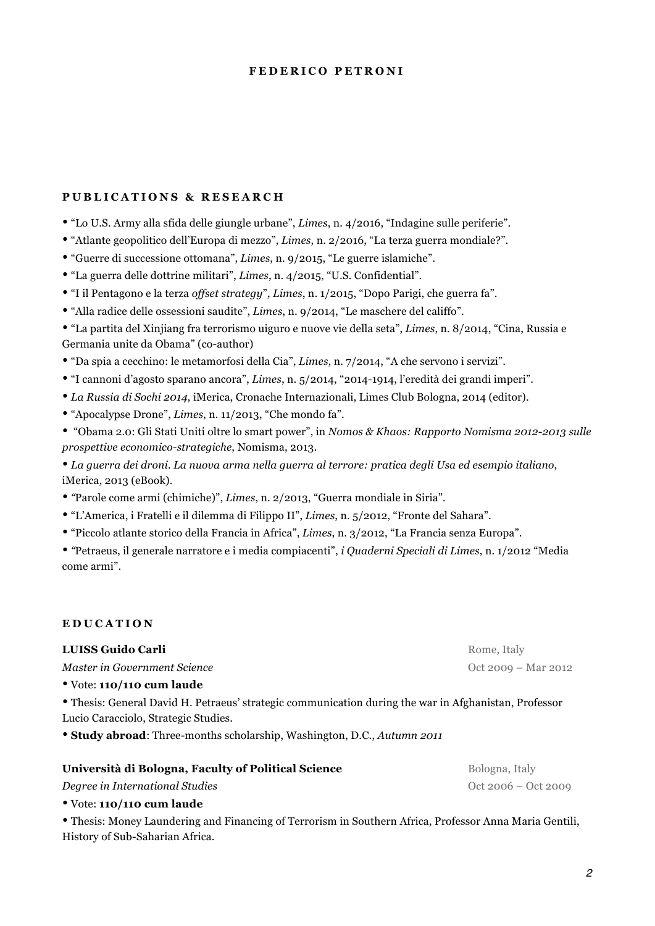#### **FEDERICO PETRONI**

## **PUBLICATIONS & RESEARCH**

- "Lo U.S. Army alla sfida delle giungle urbane", *Limes*, n. 4/2016, "Indagine sulle periferie".
- "Atlante geopolitico dell'Europa di mezzo", *Limes*, n. 2/2016, "La terza guerra mondiale?".
- "Guerre di successione ottomana", *Limes*, n. 9/2015, "Le guerre islamiche".
- "La guerra delle dottrine militari", *Limes*, n. 4/2015, "U.S. Confidential".
- "I il Pentagono e la terza *offset strategy*", *Limes*, n. 1/2015, "Dopo Parigi, che guerra fa".
- "Alla radice delle ossessioni saudite", *Limes*, n. 9/2014, "Le maschere del califfo".
- "La partita del Xinjiang fra terrorismo uiguro e nuove vie della seta", *Limes*, n. 8/2014, "Cina, Russia e Germania unite da Obama" (co-author)
- "Da spia a cecchino: le metamorfosi della Cia", *Limes*, n. 7/2014, "A che servono i servizi".
- "I cannoni d'agosto sparano ancora", *Limes*, n. 5/2014, "2014-1914, l'eredità dei grandi imperi".
- *La Russia di Sochi 2014*, iMerica, Cronache Internazionali, Limes Club Bologna, 2014 (editor).
- "Apocalypse Drone", *Limes*, n. 11/2013, "Che mondo fa".
- "Obama 2.0: Gli Stati Uniti oltre lo smart power", in *Nomos & Khaos: Rapporto Nomisma 2012-2013 sulle prospettive economico-strategiche*, Nomisma, 2013.

• *La guerra dei droni. La nuova arma nella guerra al terrore: pratica degli Usa ed esempio italiano*, iMerica, 2013 (eBook).

- *"*Parole come armi (chimiche)", *Limes*, n. 2/2013, "Guerra mondiale in Siria".
- "L'America, i Fratelli e il dilemma di Filippo II", *Limes*, n. 5/2012, "Fronte del Sahara".
- "Piccolo atlante storico della Francia in Africa", *Limes*, n. 3/2012, "La Francia senza Europa".

• *"*Petraeus, il generale narratore e i media compiacenti", *i Quaderni Speciali di Limes*, n. 1/2012 "Media come armi".

## **EDUCATION**

| LUISS Guido Carli                                                                                     | Rome, Italy         |
|-------------------------------------------------------------------------------------------------------|---------------------|
| Master in Government Science                                                                          | Oct 2009 – Mar 2012 |
| • Vote: 110/110 cum laude                                                                             |                     |
| • Thesis: General David H. Petraeus' strategic communication during the war in Afghanistan, Professor |                     |
| Lucio Caracciolo, Strategic Studies.                                                                  |                     |

• **Study abroad**: Three-months scholarship, Washington, D.C., *Autumn 2011*

## **Università di Bologna, Faculty of Political Science** Bologna, Italy

# *Degree in International Studies* Oct 2006 – Oct 2009

• Vote: **110/110 cum laude**

• Thesis: Money Laundering and Financing of Terrorism in Southern Africa, Professor Anna Maria Gentili, History of Sub-Saharian Africa.